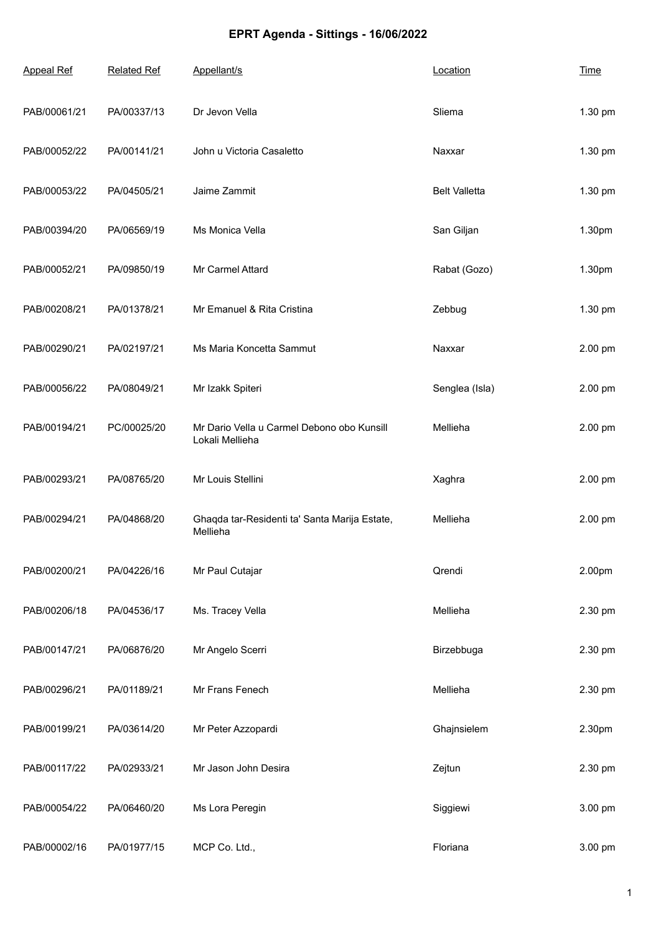## **EPRT Agenda - Sittings - 16/06/2022**

| <b>Appeal Ref</b> | <b>Related Ref</b> | Appellant/s                                                   | Location             | <b>Time</b> |
|-------------------|--------------------|---------------------------------------------------------------|----------------------|-------------|
| PAB/00061/21      | PA/00337/13        | Dr Jevon Vella                                                | Sliema               | 1.30 pm     |
| PAB/00052/22      | PA/00141/21        | John u Victoria Casaletto                                     | Naxxar               | 1.30 pm     |
| PAB/00053/22      | PA/04505/21        | Jaime Zammit                                                  | <b>Belt Valletta</b> | 1.30 pm     |
| PAB/00394/20      | PA/06569/19        | Ms Monica Vella                                               | San Giljan           | 1.30pm      |
| PAB/00052/21      | PA/09850/19        | Mr Carmel Attard                                              | Rabat (Gozo)         | 1.30pm      |
| PAB/00208/21      | PA/01378/21        | Mr Emanuel & Rita Cristina                                    | Zebbug               | 1.30 pm     |
| PAB/00290/21      | PA/02197/21        | Ms Maria Koncetta Sammut                                      | Naxxar               | 2.00 pm     |
| PAB/00056/22      | PA/08049/21        | Mr Izakk Spiteri                                              | Senglea (Isla)       | 2.00 pm     |
| PAB/00194/21      | PC/00025/20        | Mr Dario Vella u Carmel Debono obo Kunsill<br>Lokali Mellieha | Mellieha             | 2.00 pm     |
| PAB/00293/21      | PA/08765/20        | Mr Louis Stellini                                             | Xaghra               | 2.00 pm     |
| PAB/00294/21      | PA/04868/20        | Ghaqda tar-Residenti ta' Santa Marija Estate,<br>Mellieha     | Mellieha             | 2.00 pm     |
| PAB/00200/21      | PA/04226/16        | Mr Paul Cutajar                                               | Qrendi               | 2.00pm      |
| PAB/00206/18      | PA/04536/17        | Ms. Tracey Vella                                              | Mellieha             | 2.30 pm     |
| PAB/00147/21      | PA/06876/20        | Mr Angelo Scerri                                              | Birzebbuga           | 2.30 pm     |
| PAB/00296/21      | PA/01189/21        | Mr Frans Fenech                                               | Mellieha             | 2.30 pm     |
| PAB/00199/21      | PA/03614/20        | Mr Peter Azzopardi                                            | Ghajnsielem          | 2.30pm      |
| PAB/00117/22      | PA/02933/21        | Mr Jason John Desira                                          | Zejtun               | 2.30 pm     |
| PAB/00054/22      | PA/06460/20        | Ms Lora Peregin                                               | Siggiewi             | 3.00 pm     |
| PAB/00002/16      | PA/01977/15        | MCP Co. Ltd.,                                                 | Floriana             | 3.00 pm     |